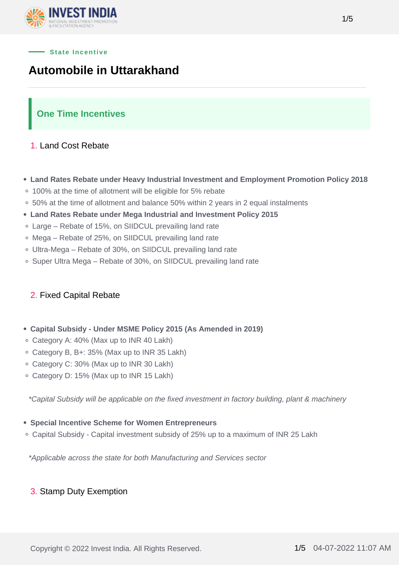

#### **State Incentive**

# **Automobile in Uttarakhand**

## **One Time Incentives**

#### 1. Land Cost Rebate

- **Land Rates Rebate under Heavy Industrial Investment and Employment Promotion Policy 2018**
- 100% at the time of allotment will be eligible for 5% rebate
- 50% at the time of allotment and balance 50% within 2 years in 2 equal instalments
- **Land Rates Rebate under Mega Industrial and Investment Policy 2015**
- Large Rebate of 15%, on SIIDCUL prevailing land rate
- Mega Rebate of 25%, on SIIDCUL prevailing land rate
- Ultra-Mega Rebate of 30%, on SIIDCUL prevailing land rate
- Super Ultra Mega Rebate of 30%, on SIIDCUL prevailing land rate

#### 2. Fixed Capital Rebate

- **Capital Subsidy Under MSME Policy 2015 (As Amended in 2019)**
- Category A: 40% (Max up to INR 40 Lakh)
- Category B, B+: 35% (Max up to INR 35 Lakh)
- Category C: 30% (Max up to INR 30 Lakh)
- Category D: 15% (Max up to INR 15 Lakh)

\*Capital Subsidy will be applicable on the fixed investment in factory building, plant & machinery

#### **Special Incentive Scheme for Women Entrepreneurs**

Capital Subsidy - Capital investment subsidy of 25% up to a maximum of INR 25 Lakh

\*Applicable across the state for both Manufacturing and Services sector

#### 3. Stamp Duty Exemption

1/5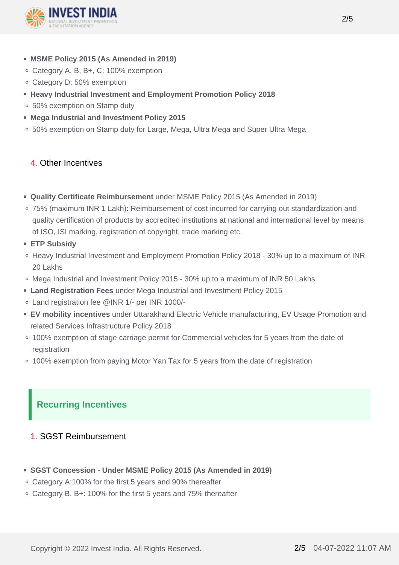

- **MSME Policy 2015 (As Amended in 2019)**
- Category A, B, B+, C: 100% exemption
- Category D: 50% exemption
- **Heavy Industrial Investment and Employment Promotion Policy 2018**
- 50% exemption on Stamp duty
- **Mega Industrial and Investment Policy 2015**
- 50% exemption on Stamp duty for Large, Mega, Ultra Mega and Super Ultra Mega

## 4. Other Incentives

- **Quality Certificate Reimbursement** under MSME Policy 2015 (As Amended in 2019)
- 75% (maximum INR 1 Lakh): Reimbursement of cost incurred for carrying out standardization and quality certification of products by accredited institutions at national and international level by means of ISO, ISI marking, registration of copyright, trade marking etc.
- **ETP Subsidy**
- Heavy Industrial Investment and Employment Promotion Policy 2018 30% up to a maximum of INR 20 Lakhs
- Mega Industrial and Investment Policy 2015 30% up to a maximum of INR 50 Lakhs
- **Land Registration Fees** under Mega Industrial and Investment Policy 2015
- Land registration fee @INR 1/- per INR 1000/-
- **EV mobility incentives** under Uttarakhand Electric Vehicle manufacturing, EV Usage Promotion and related Services Infrastructure Policy 2018
- 100% exemption of stage carriage permit for Commercial vehicles for 5 years from the date of registration
- 100% exemption from paying Motor Yan Tax for 5 years from the date of registration

## **Recurring Incentives**

## 1. SGST Reimbursement

- **SGST Concession Under MSME Policy 2015 (As Amended in 2019)**
- Category A:100% for the first 5 years and 90% thereafter
- Category B, B+: 100% for the first 5 years and 75% thereafter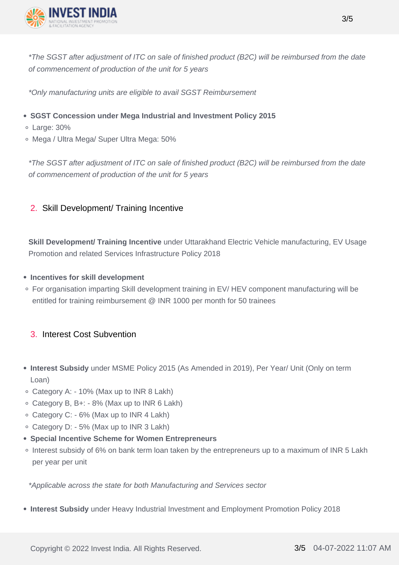

\*The SGST after adjustment of ITC on sale of finished product (B2C) will be reimbursed from the date of commencement of production of the unit for 5 years

\*Only manufacturing units are eligible to avail SGST Reimbursement

- **SGST Concession under Mega Industrial and Investment Policy 2015**
- Large: 30%
- Mega / Ultra Mega/ Super Ultra Mega: 50%

\*The SGST after adjustment of ITC on sale of finished product (B2C) will be reimbursed from the date of commencement of production of the unit for 5 years

## 2. Skill Development/ Training Incentive

**Skill Development/ Training Incentive** under Uttarakhand Electric Vehicle manufacturing, EV Usage Promotion and related Services Infrastructure Policy 2018

#### **Incentives for skill development**

For organisation imparting Skill development training in EV/ HEV component manufacturing will be entitled for training reimbursement @ INR 1000 per month for 50 trainees

## 3. Interest Cost Subvention

- **Interest Subsidy** under MSME Policy 2015 (As Amended in 2019), Per Year/ Unit (Only on term Loan)
- Category A: 10% (Max up to INR 8 Lakh)
- Category B, B+: 8% (Max up to INR 6 Lakh)
- Category C: 6% (Max up to INR 4 Lakh)
- Category D: 5% (Max up to INR 3 Lakh)
- **Special Incentive Scheme for Women Entrepreneurs**
- Interest subsidy of 6% on bank term loan taken by the entrepreneurs up to a maximum of INR 5 Lakh per year per unit

\*Applicable across the state for both Manufacturing and Services sector

**Interest Subsidy** under Heavy Industrial Investment and Employment Promotion Policy 2018

Copyright © 2022 Invest India. All Rights Reserved. 3/5 04-07-2022 11:07 AM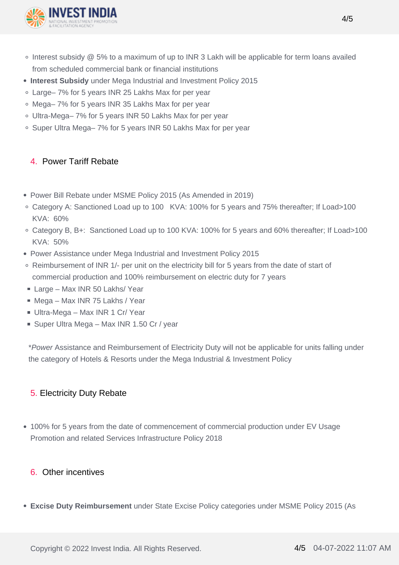

- o Interest subsidy @ 5% to a maximum of up to INR 3 Lakh will be applicable for term loans availed from scheduled commercial bank or financial institutions
- **Interest Subsidy** under Mega Industrial and Investment Policy 2015
- Large– 7% for 5 years INR 25 Lakhs Max for per year
- Mega– 7% for 5 years INR 35 Lakhs Max for per year
- Ultra-Mega– 7% for 5 years INR 50 Lakhs Max for per year
- Super Ultra Mega– 7% for 5 years INR 50 Lakhs Max for per year

## 4. Power Tariff Rebate

- Power Bill Rebate under MSME Policy 2015 (As Amended in 2019)
- Category A: Sanctioned Load up to 100 KVA: 100% for 5 years and 75% thereafter; If Load>100 KVA: 60%
- Category B, B+: Sanctioned Load up to 100 KVA: 100% for 5 years and 60% thereafter; If Load>100 KVA: 50%
- Power Assistance under Mega Industrial and Investment Policy 2015
- Reimbursement of INR 1/- per unit on the electricity bill for 5 years from the date of start of commercial production and 100% reimbursement on electric duty for 7 years
- Large Max INR 50 Lakhs/ Year
- Mega Max INR 75 Lakhs / Year
- Ultra-Mega Max INR 1 Cr/ Year
- Super Ultra Mega Max INR 1.50 Cr / year

\*Power Assistance and Reimbursement of Electricity Duty will not be applicable for units falling under the category of Hotels & Resorts under the Mega Industrial & Investment Policy

## 5. Electricity Duty Rebate

100% for 5 years from the date of commencement of commercial production under EV Usage Promotion and related Services Infrastructure Policy 2018

### 6. Other incentives

**Excise Duty Reimbursement** under State Excise Policy categories under MSME Policy 2015 (As